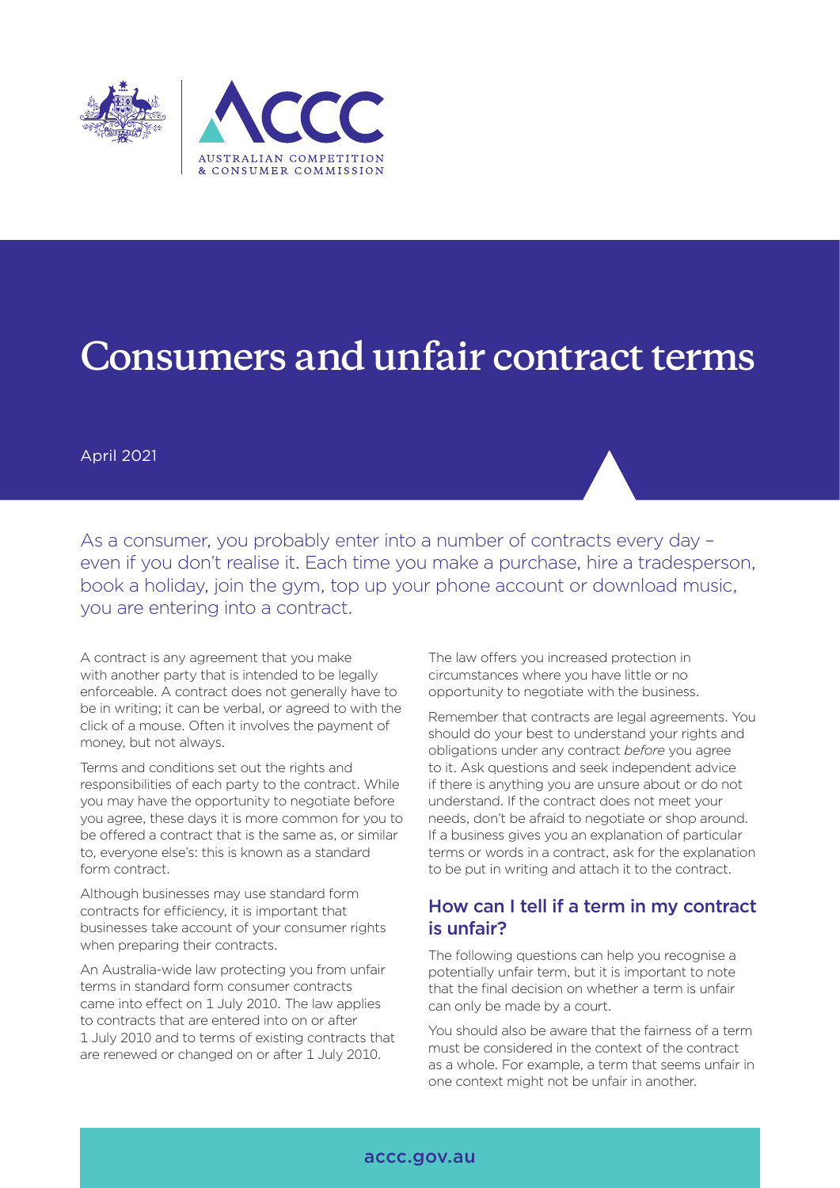

# **Consumers and unfair contract terms**

April 2021

As a consumer, you probably enter into a number of contracts every day – even if you don't realise it. Each time you make a purchase, hire a tradesperson, book a holiday, join the gym, top up your phone account or download music, you are entering into a contract.

A contract is any agreement that you make with another party that is intended to be legally enforceable. A contract does not generally have to be in writing; it can be verbal, or agreed to with the click of a mouse. Often it involves the payment of money, but not always.

Terms and conditions set out the rights and responsibilities of each party to the contract. While you may have the opportunity to negotiate before you agree, these days it is more common for you to be offered a contract that is the same as, or similar to, everyone else's: this is known as a standard form contract.

Although businesses may use standard form contracts for efficiency, it is important that businesses take account of your consumer rights when preparing their contracts.

An Australia-wide law protecting you from unfair terms in standard form consumer contracts came into effect on 1 July 2010. The law applies to contracts that are entered into on or after 1 July 2010 and to terms of existing contracts that are renewed or changed on or after 1 July 2010.

The law offers you increased protection in circumstances where you have little or no opportunity to negotiate with the business.

Remember that contracts are legal agreements. You should do your best to understand your rights and obligations under any contract *before* you agree to it. Ask questions and seek independent advice if there is anything you are unsure about or do not understand. If the contract does not meet your needs, don't be afraid to negotiate or shop around. If a business gives you an explanation of particular terms or words in a contract, ask for the explanation to be put in writing and attach it to the contract.

# How can I tell if a term in my contract is unfair?

The following questions can help you recognise a potentially unfair term, but it is important to note that the final decision on whether a term is unfair can only be made by a court.

You should also be aware that the fairness of a term must be considered in the context of the contract as a whole. For example, a term that seems unfair in one context might not be unfair in another.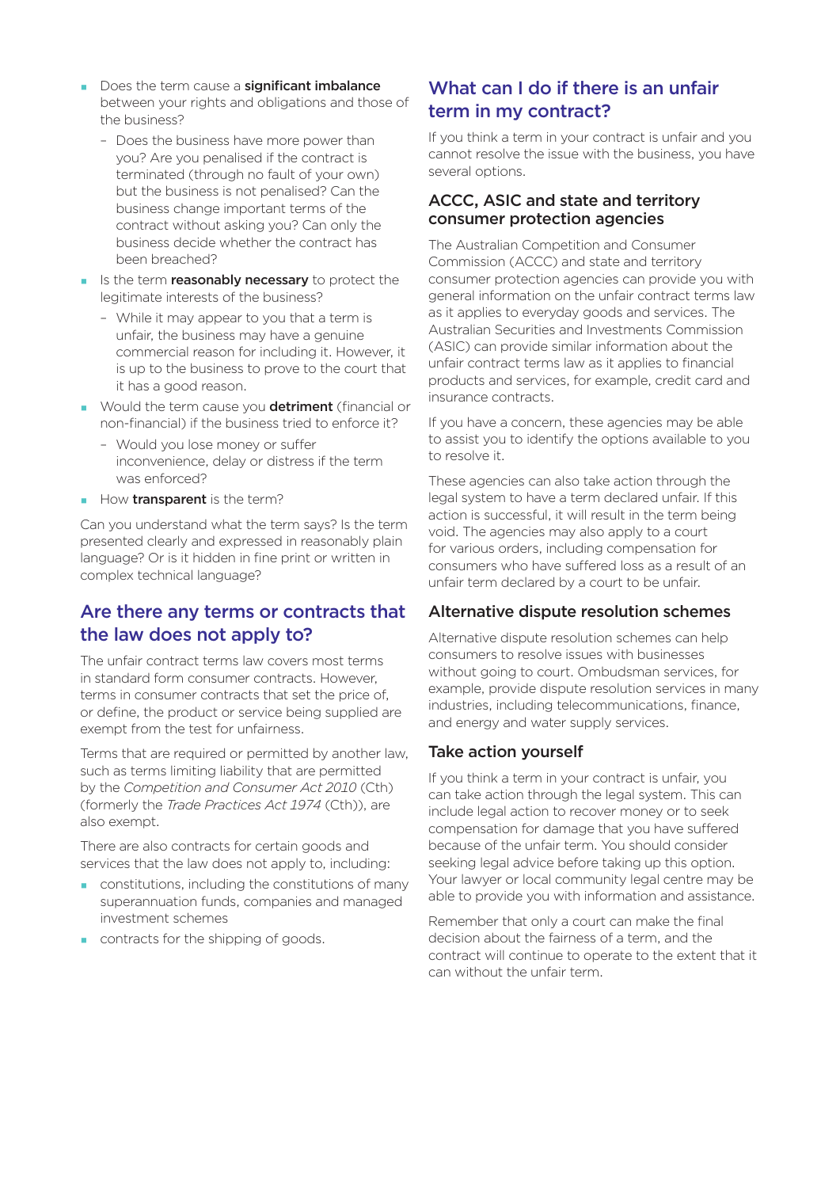- Does the term cause a significant imbalance between your rights and obligations and those of the business?
	- Does the business have more power than you? Are you penalised if the contract is terminated (through no fault of your own) but the business is not penalised? Can the business change important terms of the contract without asking you? Can only the business decide whether the contract has been breached?
- I Is the term **reasonably necessary** to protect the legitimate interests of the business?
	- While it may appear to you that a term is unfair, the business may have a genuine commercial reason for including it. However, it is up to the business to prove to the court that it has a good reason.
- Would the term cause you detriment (financial or non-financial) if the business tried to enforce it?
	- Would you lose money or suffer inconvenience, delay or distress if the term was enforced?
- How transparent is the term?

Can you understand what the term says? Is the term presented clearly and expressed in reasonably plain language? Or is it hidden in fine print or written in complex technical language?

### Are there any terms or contracts that the law does not apply to?

The unfair contract terms law covers most terms in standard form consumer contracts. However, terms in consumer contracts that set the price of, or define, the product or service being supplied are exempt from the test for unfairness.

Terms that are required or permitted by another law, such as terms limiting liability that are permitted by the *Competition and Consumer Act 2010* (Cth) (formerly the *Trade Practices Act 1974* (Cth)), are also exempt.

There are also contracts for certain goods and services that the law does not apply to, including:

- constitutions, including the constitutions of many superannuation funds, companies and managed investment schemes
- contracts for the shipping of goods.

# What can I do if there is an unfair term in my contract?

If you think a term in your contract is unfair and you cannot resolve the issue with the business, you have several options.

#### ACCC, ASIC and state and territory consumer protection agencies

The Australian Competition and Consumer Commission (ACCC) and state and territory consumer protection agencies can provide you with general information on the unfair contract terms law as it applies to everyday goods and services. The Australian Securities and Investments Commission (ASIC) can provide similar information about the unfair contract terms law as it applies to financial products and services, for example, credit card and insurance contracts.

If you have a concern, these agencies may be able to assist you to identify the options available to you to resolve it.

These agencies can also take action through the legal system to have a term declared unfair. If this action is successful, it will result in the term being void. The agencies may also apply to a court for various orders, including compensation for consumers who have suffered loss as a result of an unfair term declared by a court to be unfair.

#### Alternative dispute resolution schemes

Alternative dispute resolution schemes can help consumers to resolve issues with businesses without going to court. Ombudsman services, for example, provide dispute resolution services in many industries, including telecommunications, finance, and energy and water supply services.

#### Take action yourself

If you think a term in your contract is unfair, you can take action through the legal system. This can include legal action to recover money or to seek compensation for damage that you have suffered because of the unfair term. You should consider seeking legal advice before taking up this option. Your lawyer or local community legal centre may be able to provide you with information and assistance.

Remember that only a court can make the final decision about the fairness of a term, and the contract will continue to operate to the extent that it can without the unfair term.